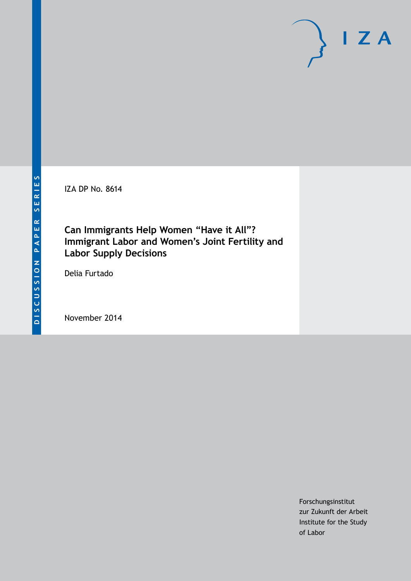IZA DP No. 8614

**Can Immigrants Help Women "Have it All"? Immigrant Labor and Women's Joint Fertility and Labor Supply Decisions**

Delia Furtado

November 2014

Forschungsinstitut zur Zukunft der Arbeit Institute for the Study of Labor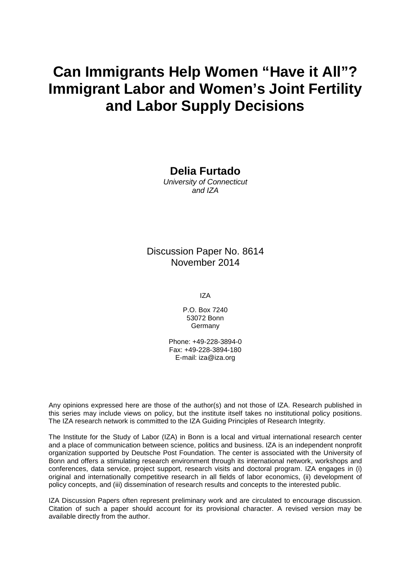# **Can Immigrants Help Women "Have it All"? Immigrant Labor and Women's Joint Fertility and Labor Supply Decisions**

**Delia Furtado**

*University of Connecticut and IZA*

Discussion Paper No. 8614 November 2014

IZA

P.O. Box 7240 53072 Bonn **Germany** 

Phone: +49-228-3894-0 Fax: +49-228-3894-180 E-mail: [iza@iza.org](mailto:iza@iza.org)

Any opinions expressed here are those of the author(s) and not those of IZA. Research published in this series may include views on policy, but the institute itself takes no institutional policy positions. The IZA research network is committed to the IZA Guiding Principles of Research Integrity.

The Institute for the Study of Labor (IZA) in Bonn is a local and virtual international research center and a place of communication between science, politics and business. IZA is an independent nonprofit organization supported by Deutsche Post Foundation. The center is associated with the University of Bonn and offers a stimulating research environment through its international network, workshops and conferences, data service, project support, research visits and doctoral program. IZA engages in (i) original and internationally competitive research in all fields of labor economics, (ii) development of policy concepts, and (iii) dissemination of research results and concepts to the interested public.

<span id="page-1-0"></span>IZA Discussion Papers often represent preliminary work and are circulated to encourage discussion. Citation of such a paper should account for its provisional character. A revised version may be available directly from the author.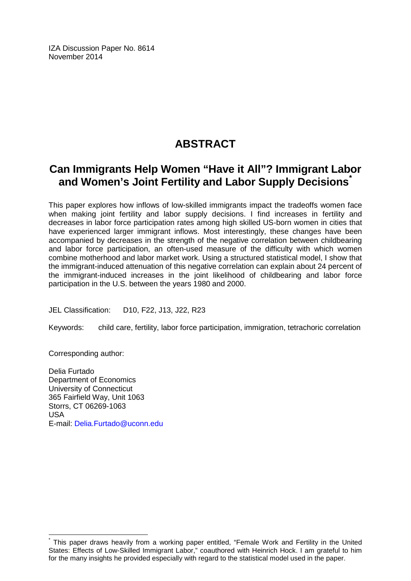IZA Discussion Paper No. 8614 November 2014

# **ABSTRACT**

# **Can Immigrants Help Women "Have it All"? Immigrant Labor and Women's Joint Fertility and Labor Supply Decisions[\\*](#page-1-0)**

This paper explores how inflows of low-skilled immigrants impact the tradeoffs women face when making joint fertility and labor supply decisions. I find increases in fertility and decreases in labor force participation rates among high skilled US-born women in cities that have experienced larger immigrant inflows. Most interestingly, these changes have been accompanied by decreases in the strength of the negative correlation between childbearing and labor force participation, an often-used measure of the difficulty with which women combine motherhood and labor market work. Using a structured statistical model, I show that the immigrant-induced attenuation of this negative correlation can explain about 24 percent of the immigrant-induced increases in the joint likelihood of childbearing and labor force participation in the U.S. between the years 1980 and 2000.

JEL Classification: D10, F22, J13, J22, R23

Keywords: child care, fertility, labor force participation, immigration, tetrachoric correlation

Corresponding author:

Delia Furtado Department of Economics University of Connecticut 365 Fairfield Way, Unit 1063 Storrs, CT 06269-1063 USA E-mail: [Delia.Furtado@uconn.edu](mailto:Delia.Furtado@uconn.edu)

This paper draws heavily from a working paper entitled, "Female Work and Fertility in the United States: Effects of Low-Skilled Immigrant Labor," coauthored with Heinrich Hock. I am grateful to him for the many insights he provided especially with regard to the statistical model used in the paper.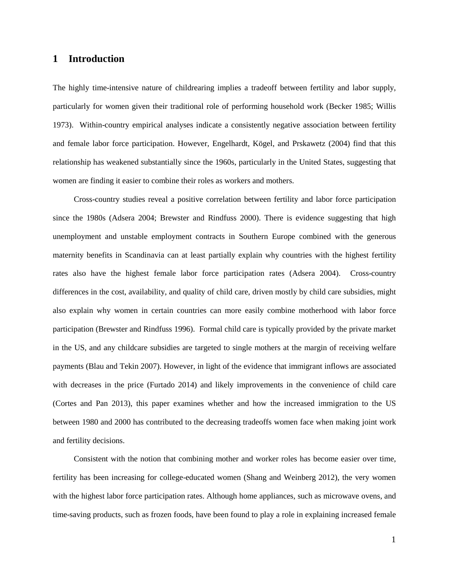### **1 Introduction**

The highly time-intensive nature of childrearing implies a tradeoff between fertility and labor supply, particularly for women given their traditional role of performing household work (Becker 1985; Willis 1973). Within-country empirical analyses indicate a consistently negative association between fertility and female labor force participation. However, Engelhardt, Kögel, and Prskawetz (2004) find that this relationship has weakened substantially since the 1960s, particularly in the United States, suggesting that women are finding it easier to combine their roles as workers and mothers.

Cross-country studies reveal a positive correlation between fertility and labor force participation since the 1980s (Adsera 2004; Brewster and Rindfuss 2000). There is evidence suggesting that high unemployment and unstable employment contracts in Southern Europe combined with the generous maternity benefits in Scandinavia can at least partially explain why countries with the highest fertility rates also have the highest female labor force participation rates (Adsera 2004). Cross-country differences in the cost, availability, and quality of child care, driven mostly by child care subsidies, might also explain why women in certain countries can more easily combine motherhood with labor force participation (Brewster and Rindfuss 1996). Formal child care is typically provided by the private market in the US, and any childcare subsidies are targeted to single mothers at the margin of receiving welfare payments (Blau and Tekin 2007). However, in light of the evidence that immigrant inflows are associated with decreases in the price (Furtado 2014) and likely improvements in the convenience of child care (Cortes and Pan 2013), this paper examines whether and how the increased immigration to the US between 1980 and 2000 has contributed to the decreasing tradeoffs women face when making joint work and fertility decisions.

Consistent with the notion that combining mother and worker roles has become easier over time, fertility has been increasing for college-educated women (Shang and Weinberg 2012), the very women with the highest labor force participation rates. Although home appliances, such as microwave ovens, and time-saving products, such as frozen foods, have been found to play a role in explaining increased female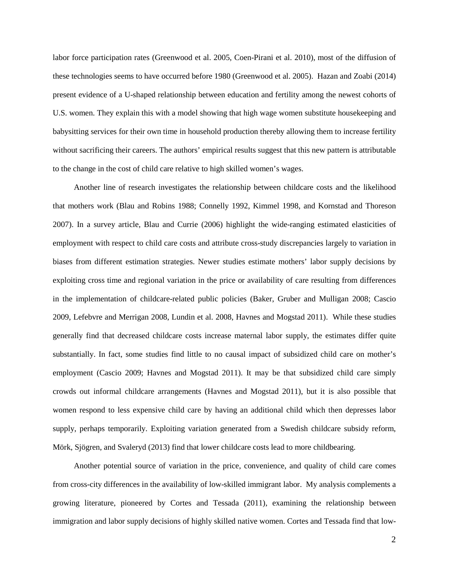labor force participation rates (Greenwood et al. 2005, Coen-Pirani et al. 2010), most of the diffusion of these technologies seems to have occurred before 1980 (Greenwood et al. 2005). Hazan and Zoabi (2014) present evidence of a U-shaped relationship between education and fertility among the newest cohorts of U.S. women. They explain this with a model showing that high wage women substitute housekeeping and babysitting services for their own time in household production thereby allowing them to increase fertility without sacrificing their careers. The authors' empirical results suggest that this new pattern is attributable to the change in the cost of child care relative to high skilled women's wages.

Another line of research investigates the relationship between childcare costs and the likelihood that mothers work (Blau and Robins 1988; Connelly 1992, Kimmel 1998, and Kornstad and Thoreson 2007). In a survey article, Blau and Currie (2006) highlight the wide-ranging estimated elasticities of employment with respect to child care costs and attribute cross-study discrepancies largely to variation in biases from different estimation strategies. Newer studies estimate mothers' labor supply decisions by exploiting cross time and regional variation in the price or availability of care resulting from differences in the implementation of childcare-related public policies (Baker, Gruber and Mulligan 2008; Cascio 2009, Lefebvre and Merrigan 2008, Lundin et al. 2008, Havnes and Mogstad 2011). While these studies generally find that decreased childcare costs increase maternal labor supply, the estimates differ quite substantially. In fact, some studies find little to no causal impact of subsidized child care on mother's employment (Cascio 2009; Havnes and Mogstad 2011). It may be that subsidized child care simply crowds out informal childcare arrangements (Havnes and Mogstad 2011), but it is also possible that women respond to less expensive child care by having an additional child which then depresses labor supply, perhaps temporarily. Exploiting variation generated from a Swedish childcare subsidy reform, Mörk, Sjögren, and Svaleryd (2013) find that lower childcare costs lead to more childbearing.

Another potential source of variation in the price, convenience, and quality of child care comes from cross-city differences in the availability of low-skilled immigrant labor. My analysis complements a growing literature, pioneered by Cortes and Tessada (2011), examining the relationship between immigration and labor supply decisions of highly skilled native women. Cortes and Tessada find that low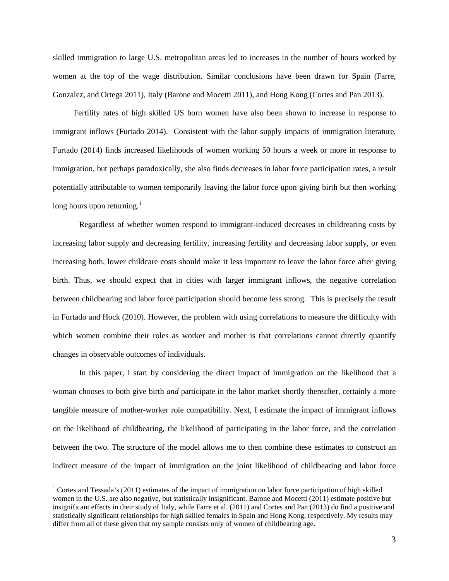skilled immigration to large U.S. metropolitan areas led to increases in the number of hours worked by women at the top of the wage distribution. Similar conclusions have been drawn for Spain (Farre, Gonzalez, and Ortega 2011), Italy (Barone and Mocetti 2011), and Hong Kong (Cortes and Pan 2013).

Fertility rates of high skilled US born women have also been shown to increase in response to immigrant inflows (Furtado 2014). Consistent with the labor supply impacts of immigration literature, Furtado (2014) finds increased likelihoods of women working 50 hours a week or more in response to immigration, but perhaps paradoxically, she also finds decreases in labor force participation rates, a result potentially attributable to women temporarily leaving the labor force upon giving birth but then working long hours upon returning. $<sup>1</sup>$ </sup>

Regardless of whether women respond to immigrant-induced decreases in childrearing costs by increasing labor supply and decreasing fertility, increasing fertility and decreasing labor supply, or even increasing both, lower childcare costs should make it less important to leave the labor force after giving birth. Thus, we should expect that in cities with larger immigrant inflows, the negative correlation between childbearing and labor force participation should become less strong. This is precisely the result in Furtado and Hock (2010). However, the problem with using correlations to measure the difficulty with which women combine their roles as worker and mother is that correlations cannot directly quantify changes in observable outcomes of individuals.

In this paper, I start by considering the direct impact of immigration on the likelihood that a woman chooses to both give birth *and* participate in the labor market shortly thereafter, certainly a more tangible measure of mother-worker role compatibility. Next, I estimate the impact of immigrant inflows on the likelihood of childbearing, the likelihood of participating in the labor force, and the correlation between the two. The structure of the model allows me to then combine these estimates to construct an indirect measure of the impact of immigration on the joint likelihood of childbearing and labor force

<span id="page-5-0"></span> $1$  Cortes and Tessada's (2011) estimates of the impact of immigration on labor force participation of high skilled women in the U.S. are also negative, but statistically insignificant. Barone and Mocetti (2011) estimate positive but insignificant effects in their study of Italy, while Farre et al. (2011) and Cortes and Pan (2013) do find a positive and statistically significant relationships for high skilled females in Spain and Hong Kong, respectively. My results may differ from all of these given that my sample consists only of women of childbearing age.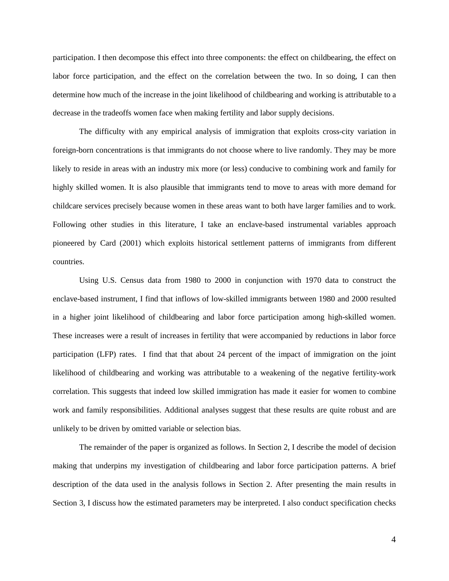participation. I then decompose this effect into three components: the effect on childbearing, the effect on labor force participation, and the effect on the correlation between the two. In so doing, I can then determine how much of the increase in the joint likelihood of childbearing and working is attributable to a decrease in the tradeoffs women face when making fertility and labor supply decisions.

The difficulty with any empirical analysis of immigration that exploits cross-city variation in foreign-born concentrations is that immigrants do not choose where to live randomly. They may be more likely to reside in areas with an industry mix more (or less) conducive to combining work and family for highly skilled women. It is also plausible that immigrants tend to move to areas with more demand for childcare services precisely because women in these areas want to both have larger families and to work. Following other studies in this literature, I take an enclave-based instrumental variables approach pioneered by Card (2001) which exploits historical settlement patterns of immigrants from different countries.

Using U.S. Census data from 1980 to 2000 in conjunction with 1970 data to construct the enclave-based instrument, I find that inflows of low-skilled immigrants between 1980 and 2000 resulted in a higher joint likelihood of childbearing and labor force participation among high-skilled women. These increases were a result of increases in fertility that were accompanied by reductions in labor force participation (LFP) rates. I find that that about 24 percent of the impact of immigration on the joint likelihood of childbearing and working was attributable to a weakening of the negative fertility-work correlation. This suggests that indeed low skilled immigration has made it easier for women to combine work and family responsibilities. Additional analyses suggest that these results are quite robust and are unlikely to be driven by omitted variable or selection bias.

The remainder of the paper is organized as follows. In Section 2, I describe the model of decision making that underpins my investigation of childbearing and labor force participation patterns. A brief description of the data used in the analysis follows in Section 2. After presenting the main results in Section 3, I discuss how the estimated parameters may be interpreted. I also conduct specification checks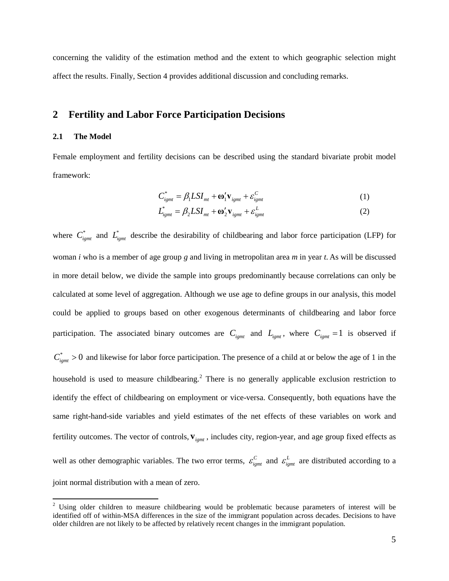concerning the validity of the estimation method and the extent to which geographic selection might affect the results. Finally, Section 4 provides additional discussion and concluding remarks.

#### **2 Fertility and Labor Force Participation Decisions**

#### **2.1 The Model**

Female employment and fertility decisions can be described using the standard bivariate probit model framework:

$$
C_{igm}^* = \beta_1 L S I_{mt} + \omega_1' \mathbf{v}_{igm} + \varepsilon_{igm}^C \tag{1}
$$

$$
L_{igmt}^* = \beta_2 L S I_{mt} + \omega_2' \mathbf{v}_{igmt} + \varepsilon_{igmt}^L
$$
 (2)

where  $C_{igm}^*$  and  $L_{igm}^*$  describe the desirability of childbearing and labor force participation (LFP) for woman *i* who is a member of age group *g* and living in metropolitan area *m* in year *t*. As will be discussed in more detail below, we divide the sample into groups predominantly because correlations can only be calculated at some level of aggregation. Although we use age to define groups in our analysis, this model could be applied to groups based on other exogenous determinants of childbearing and labor force participation. The associated binary outcomes are  $C_{igm}$  and  $L_{igmt}$ , where  $C_{igm} = 1$  is observed if  $C_{i_{emt}}^*$  > 0 and likewise for labor force participation. The presence of a child at or below the age of 1 in the household is used to measure childbearing.<sup>[2](#page-5-0)</sup> There is no generally applicable exclusion restriction to identify the effect of childbearing on employment or vice-versa. Consequently, both equations have the same right-hand-side variables and yield estimates of the net effects of these variables on work and fertility outcomes. The vector of controls,  $\mathbf{v}_{iemt}$ , includes city, region-year, and age group fixed effects as well as other demographic variables. The two error terms,  $\varepsilon_{\text{igmt}}^C$  and  $\varepsilon_{\text{igmt}}^L$  are distributed according to a joint normal distribution with a mean of zero.

<span id="page-7-0"></span><sup>&</sup>lt;sup>2</sup> Using older children to measure childbearing would be problematic because parameters of interest will be identified off of within-MSA differences in the size of the immigrant population across decades. Decisions to have older children are not likely to be affected by relatively recent changes in the immigrant population.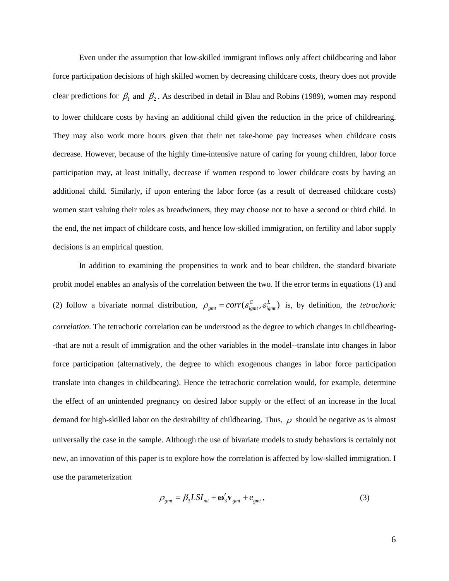Even under the assumption that low-skilled immigrant inflows only affect childbearing and labor force participation decisions of high skilled women by decreasing childcare costs, theory does not provide clear predictions for  $\beta_1$  and  $\beta_2$ . As described in detail in Blau and Robins (1989), women may respond to lower childcare costs by having an additional child given the reduction in the price of childrearing. They may also work more hours given that their net take-home pay increases when childcare costs decrease. However, because of the highly time-intensive nature of caring for young children, labor force participation may, at least initially, decrease if women respond to lower childcare costs by having an additional child. Similarly, if upon entering the labor force (as a result of decreased childcare costs) women start valuing their roles as breadwinners, they may choose not to have a second or third child. In the end, the net impact of childcare costs, and hence low-skilled immigration, on fertility and labor supply decisions is an empirical question.

In addition to examining the propensities to work and to bear children, the standard bivariate probit model enables an analysis of the correlation between the two. If the error terms in equations (1) and (2) follow a bivariate normal distribution,  $\rho_{gmt} = corr(\varepsilon_{igm}^C, \varepsilon_{igm}^L)$  is, by definition, the *tetrachoric correlation*. The tetrachoric correlation can be understood as the degree to which changes in childbearing- -that are not a result of immigration and the other variables in the model--translate into changes in labor force participation (alternatively, the degree to which exogenous changes in labor force participation translate into changes in childbearing). Hence the tetrachoric correlation would, for example, determine the effect of an unintended pregnancy on desired labor supply or the effect of an increase in the local demand for high-skilled labor on the desirability of childbearing. Thus,  $\rho$  should be negative as is almost universally the case in the sample. Although the use of bivariate models to study behaviors is certainly not new, an innovation of this paper is to explore how the correlation is affected by low-skilled immigration. I use the parameterization

$$
\rho_{gmt} = \beta_3 L S I_{mt} + \omega'_3 \mathbf{v}_{gmt} + e_{gmt},\tag{3}
$$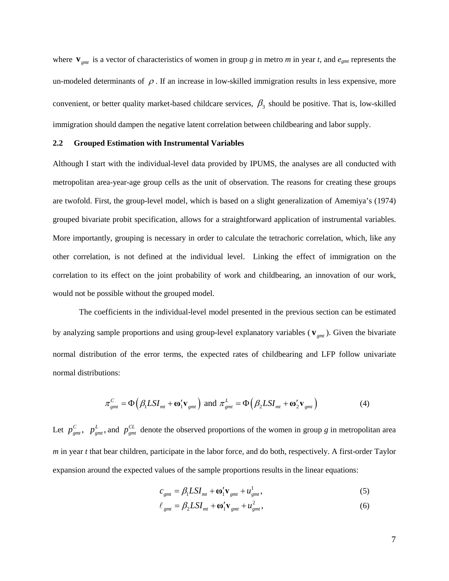where  $\mathbf{v}_{gmt}$  is a vector of characteristics of women in group *g* in metro *m* in year *t*, and  $e_{gmt}$  represents the un-modeled determinants of  $\rho$ . If an increase in low-skilled immigration results in less expensive, more convenient, or better quality market-based childcare services,  $\beta_3$  should be positive. That is, low-skilled immigration should dampen the negative latent correlation between childbearing and labor supply.

#### **2.2 Grouped Estimation with Instrumental Variables**

Although I start with the individual-level data provided by IPUMS, the analyses are all conducted with metropolitan area-year-age group cells as the unit of observation. The reasons for creating these groups are twofold. First, the group-level model, which is based on a slight generalization of Amemiya's (1974) grouped bivariate probit specification, allows for a straightforward application of instrumental variables. More importantly, grouping is necessary in order to calculate the tetrachoric correlation, which, like any other correlation, is not defined at the individual level. Linking the effect of immigration on the correlation to its effect on the joint probability of work and childbearing, an innovation of our work, would not be possible without the grouped model.

The coefficients in the individual-level model presented in the previous section can be estimated by analyzing sample proportions and using group-level explanatory variables ( $\mathbf{v}_{gmt}$ ). Given the bivariate normal distribution of the error terms, the expected rates of childbearing and LFP follow univariate normal distributions:

$$
\pi_{gmt}^{C} = \Phi\left(\beta_1 L S I_{mt} + \omega_1' \mathbf{v}_{gmt}\right) \text{ and } \pi_{gmt}^{L} = \Phi\left(\beta_2 L S I_{mt} + \omega_2' \mathbf{v}_{gmt}\right) \tag{4}
$$

Let  $p_{gmt}^C$ ,  $p_{gmt}^L$ , and  $p_{gmt}^{CL}$  denote the observed proportions of the women in group *g* in metropolitan area *m* in year *t* that bear children, participate in the labor force, and do both, respectively. A first-order Taylor expansion around the expected values of the sample proportions results in the linear equations:

$$
c_{gmt} = \beta_1 L S I_{mt} + \omega_1' \mathbf{v}_{gmt} + u_{gmt}^1, \tag{5}
$$

$$
\ell_{gmt} = \beta_2 L S I_{mt} + \mathbf{\omega}_1' \mathbf{v}_{gmt} + u_{gmt}^2, \tag{6}
$$

7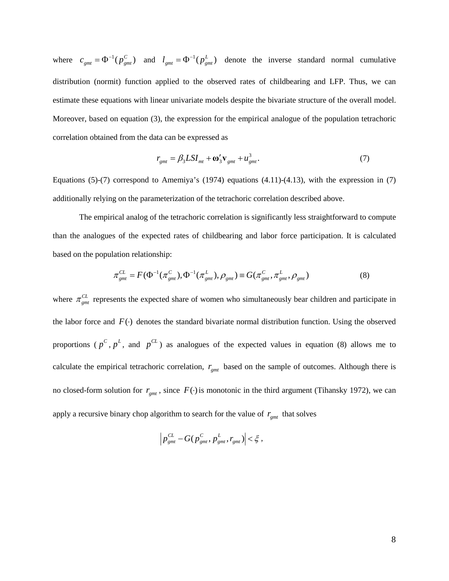where  $c_{gmt} = \Phi^{-1}(p_{gmt}^C)$  and  $l_{gmt} = \Phi^{-1}(p_{gmt}^L)$  denote the inverse standard normal cumulative distribution (normit) function applied to the observed rates of childbearing and LFP. Thus, we can estimate these equations with linear univariate models despite the bivariate structure of the overall model. Moreover, based on equation (3), the expression for the empirical analogue of the population tetrachoric correlation obtained from the data can be expressed as

$$
r_{gmt} = \beta_3 L S I_{mt} + \omega'_3 \mathbf{v}_{gmt} + u_{gmt}^3. \tag{7}
$$

Equations  $(5)-(7)$  correspond to Amemiya's  $(1974)$  equations  $(4.11)-(4.13)$ , with the expression in  $(7)$ additionally relying on the parameterization of the tetrachoric correlation described above.

The empirical analog of the tetrachoric correlation is significantly less straightforward to compute than the analogues of the expected rates of childbearing and labor force participation. It is calculated based on the population relationship:

$$
\pi_{gmt}^{CL} = F(\Phi^{-1}(\pi_{gmt}^{C}), \Phi^{-1}(\pi_{gmt}^{L}), \rho_{gmt}) \equiv G(\pi_{gmt}^{C}, \pi_{gmt}^{L}, \rho_{gmt})
$$
(8)

where  $\pi_{emt}^{CL}$  represents the expected share of women who simultaneously bear children and participate in the labor force and  $F(\cdot)$  denotes the standard bivariate normal distribution function. Using the observed proportions ( $p^C$ ,  $p^L$ , and  $p^{CL}$ ) as analogues of the expected values in equation (8) allows me to calculate the empirical tetrachoric correlation,  $r_{gmt}$  based on the sample of outcomes. Although there is no closed-form solution for  $r_{gmt}$ , since  $F(\cdot)$  is monotonic in the third argument (Tihansky 1972), we can apply a recursive binary chop algorithm to search for the value of  $r_{gmt}$  that solves

$$
\left|p_{gmt}^{CL} - G(p_{gmt}^C, p_{gmt}^L, r_{gmt})\right| < \xi,
$$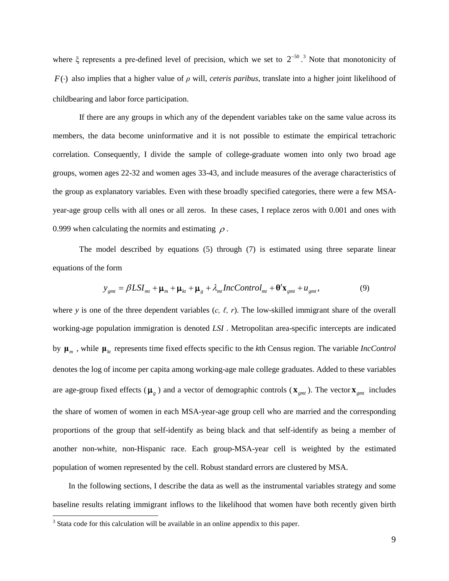where  $\xi$  represents a pre-defined level of precision, which we set to  $2^{-50}$ .<sup>[3](#page-7-0)</sup> Note that monotonicity of  $F(\cdot)$  also implies that a higher value of  $\rho$  will, *ceteris paribus*, translate into a higher joint likelihood of childbearing and labor force participation.

If there are any groups in which any of the dependent variables take on the same value across its members, the data become uninformative and it is not possible to estimate the empirical tetrachoric correlation. Consequently, I divide the sample of college-graduate women into only two broad age groups, women ages 22-32 and women ages 33-43, and include measures of the average characteristics of the group as explanatory variables. Even with these broadly specified categories, there were a few MSAyear-age group cells with all ones or all zeros. In these cases, I replace zeros with 0.001 and ones with 0.999 when calculating the normits and estimating  $\rho$ .

The model described by equations (5) through (7) is estimated using three separate linear equations of the form

$$
y_{gmt} = \beta L S I_{mt} + \mu_m + \mu_{kt} + \mu_g + \lambda_{mt} IncControl_{mt} + \theta' \mathbf{x}_{gmt} + u_{gmt},
$$
\n(9)

where *y* is one of the three dependent variables (*c, ℓ, r*). The low-skilled immigrant share of the overall working-age population immigration is denoted *LSI* . Metropolitan area-specific intercepts are indicated by  $\mu_m$ , while  $\mu_k$  represents time fixed effects specific to the *k*th Census region. The variable *IncControl* denotes the log of income per capita among working-age male college graduates. Added to these variables are age-group fixed effects ( $\mu_g$ ) and a vector of demographic controls ( $\mathbf{x}_{gmt}$ ). The vector  $\mathbf{x}_{gmt}$  includes the share of women of women in each MSA-year-age group cell who are married and the corresponding proportions of the group that self-identify as being black and that self-identify as being a member of another non-white, non-Hispanic race. Each group-MSA-year cell is weighted by the estimated population of women represented by the cell. Robust standard errors are clustered by MSA.

<span id="page-11-0"></span>In the following sections, I describe the data as well as the instrumental variables strategy and some baseline results relating immigrant inflows to the likelihood that women have both recently given birth

<sup>&</sup>lt;sup>3</sup> Stata code for this calculation will be available in an online appendix to this paper.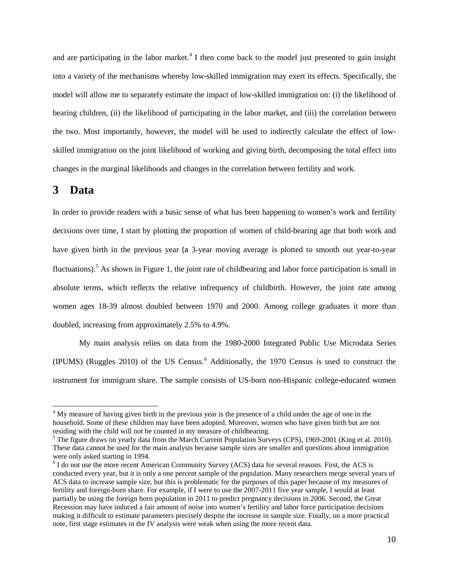and are participating in the labor market.<sup>[4](#page-11-0)</sup> I then come back to the model just presented to gain insight into a variety of the mechanisms whereby low-skilled immigration may exert its effects. Specifically, the model will allow me to separately estimate the impact of low-skilled immigration on: (i) the likelihood of bearing children, (ii) the likelihood of participating in the labor market, and (iii) the correlation between the two. Most importantly, however, the model will be used to indirectly calculate the effect of lowskilled immigration on the joint likelihood of working and giving birth, decomposing the total effect into changes in the marginal likelihoods and changes in the correlation between fertility and work.

### **3 Data**

In order to provide readers with a basic sense of what has been happening to women's work and fertility decisions over time, I start by plotting the proportion of women of child-bearing age that both work and have given birth in the previous year (a 3-year moving average is plotted to smooth out year-to-year fluctuations).<sup>[5](#page-12-0)</sup> As shown in Figure 1, the joint rate of childbearing and labor force participation is small in absolute terms, which reflects the relative infrequency of childbirth. However, the joint rate among women ages 18-39 almost doubled between 1970 and 2000. Among college graduates it more than doubled, increasing from approximately 2.5% to 4.9%.

My main analysis relies on data from the 1980-2000 Integrated Public Use Microdata Series (IPUMS) (Ruggles 2010) of the US Census.<sup>[6](#page-12-1)</sup> Additionally, the 1970 Census is used to construct the instrument for immigrant share. The sample consists of US-born non-Hispanic college-educated women

<sup>&</sup>lt;sup>4</sup> My measure of having given birth in the previous year is the presence of a child under the age of one in the household. Some of these children may have been adopted. Moreover, women who have given birth but are not residing with the child will not be counted in my measure of childbearing.

<span id="page-12-0"></span><sup>&</sup>lt;sup>5</sup> The figure draws on yearly data from the March Current Population Surveys (CPS), 1969-2001 (King et al. 2010). These data cannot be used for the main analysis because sample sizes are smaller and questions about immigration were only asked starting in 1994.

<span id="page-12-2"></span><span id="page-12-1"></span><sup>&</sup>lt;sup>6</sup> I do not use the more recent American Community Survey (ACS) data for several reasons. First, the ACS is conducted every year, but it is only a one percent sample of the population. Many researchers merge several years of ACS data to increase sample size, but this is problematic for the purposes of this paper because of my measures of fertility and foreign-born share. For example, if I were to use the 2007-2011 five year sample, I would at least partially be using the foreign born population in 2011 to predict pregnancy decisions in 2006. Second, the Great Recession may have induced a fair amount of noise into women's fertility and labor force participation decisions making it difficult to estimate parameters precisely despite the increase in sample size. Finally, on a more practical note, first stage estimates in the IV analysis were weak when using the more recent data.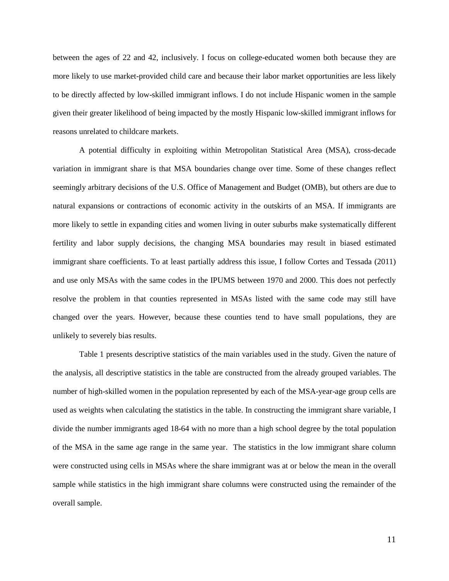between the ages of 22 and 42, inclusively. I focus on college-educated women both because they are more likely to use market-provided child care and because their labor market opportunities are less likely to be directly affected by low-skilled immigrant inflows. I do not include Hispanic women in the sample given their greater likelihood of being impacted by the mostly Hispanic low-skilled immigrant inflows for reasons unrelated to childcare markets.

A potential difficulty in exploiting within Metropolitan Statistical Area (MSA), cross-decade variation in immigrant share is that MSA boundaries change over time. Some of these changes reflect seemingly arbitrary decisions of the U.S. Office of Management and Budget (OMB), but others are due to natural expansions or contractions of economic activity in the outskirts of an MSA. If immigrants are more likely to settle in expanding cities and women living in outer suburbs make systematically different fertility and labor supply decisions, the changing MSA boundaries may result in biased estimated immigrant share coefficients. To at least partially address this issue, I follow Cortes and Tessada (2011) and use only MSAs with the same codes in the IPUMS between 1970 and 2000. This does not perfectly resolve the problem in that counties represented in MSAs listed with the same code may still have changed over the years. However, because these counties tend to have small populations, they are unlikely to severely bias results.

Table 1 presents descriptive statistics of the main variables used in the study. Given the nature of the analysis, all descriptive statistics in the table are constructed from the already grouped variables. The number of high-skilled women in the population represented by each of the MSA-year-age group cells are used as weights when calculating the statistics in the table. In constructing the immigrant share variable, I divide the number immigrants aged 18-64 with no more than a high school degree by the total population of the MSA in the same age range in the same year. The statistics in the low immigrant share column were constructed using cells in MSAs where the share immigrant was at or below the mean in the overall sample while statistics in the high immigrant share columns were constructed using the remainder of the overall sample.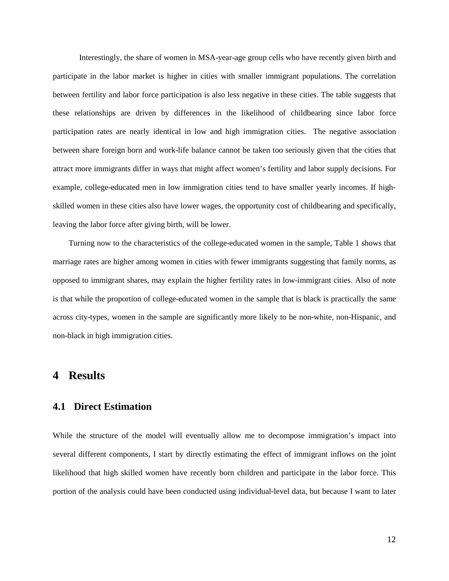Interestingly, the share of women in MSA-year-age group cells who have recently given birth and participate in the labor market is higher in cities with smaller immigrant populations. The correlation between fertility and labor force participation is also less negative in these cities. The table suggests that these relationships are driven by differences in the likelihood of childbearing since labor force participation rates are nearly identical in low and high immigration cities. The negative association between share foreign born and work-life balance cannot be taken too seriously given that the cities that attract more immigrants differ in ways that might affect women's fertility and labor supply decisions. For example, college-educated men in low immigration cities tend to have smaller yearly incomes. If highskilled women in these cities also have lower wages, the opportunity cost of childbearing and specifically, leaving the labor force after giving birth, will be lower.

Turning now to the characteristics of the college-educated women in the sample, Table 1 shows that marriage rates are higher among women in cities with fewer immigrants suggesting that family norms, as opposed to immigrant shares, may explain the higher fertility rates in low-immigrant cities. Also of note is that while the proportion of college-educated women in the sample that is black is practically the same across city-types, women in the sample are significantly more likely to be non-white, non-Hispanic, and non-black in high immigration cities.

## **4 Results**

### **4.1 Direct Estimation**

While the structure of the model will eventually allow me to decompose immigration's impact into several different components, I start by directly estimating the effect of immigrant inflows on the joint likelihood that high skilled women have recently born children and participate in the labor force. This portion of the analysis could have been conducted using individual-level data, but because I want to later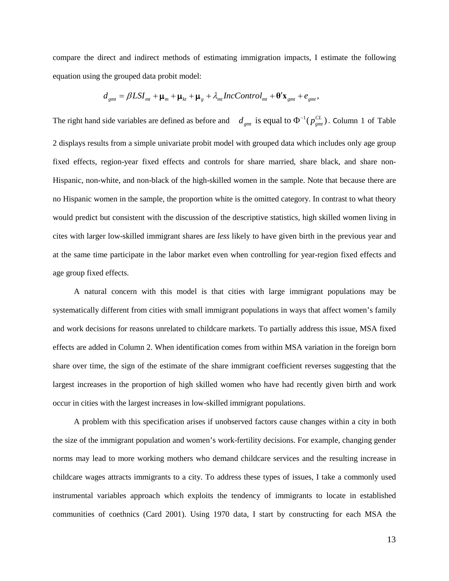compare the direct and indirect methods of estimating immigration impacts, I estimate the following equation using the grouped data probit model:

$$
d_{gmt} = \beta LSI_{mt} + \mu_m + \mu_{kt} + \mu_g + \lambda_m IncControl_{mt} + \theta' \mathbf{x}_{gmt} + e_{gmt},
$$

The right hand side variables are defined as before and  $d_{gmt}$  is equal to  $\Phi^{-1}(p_{gmt}^{CL})$ . Column 1 of Table 2 displays results from a simple univariate probit model with grouped data which includes only age group fixed effects, region-year fixed effects and controls for share married, share black, and share non-Hispanic, non-white, and non-black of the high-skilled women in the sample. Note that because there are no Hispanic women in the sample, the proportion white is the omitted category. In contrast to what theory would predict but consistent with the discussion of the descriptive statistics, high skilled women living in cites with larger low-skilled immigrant shares are *less* likely to have given birth in the previous year and at the same time participate in the labor market even when controlling for year-region fixed effects and age group fixed effects.

A natural concern with this model is that cities with large immigrant populations may be systematically different from cities with small immigrant populations in ways that affect women's family and work decisions for reasons unrelated to childcare markets. To partially address this issue, MSA fixed effects are added in Column 2. When identification comes from within MSA variation in the foreign born share over time, the sign of the estimate of the share immigrant coefficient reverses suggesting that the largest increases in the proportion of high skilled women who have had recently given birth and work occur in cities with the largest increases in low-skilled immigrant populations.

A problem with this specification arises if unobserved factors cause changes within a city in both the size of the immigrant population and women's work-fertility decisions. For example, changing gender norms may lead to more working mothers who demand childcare services and the resulting increase in childcare wages attracts immigrants to a city. To address these types of issues, I take a commonly used instrumental variables approach which exploits the tendency of immigrants to locate in established communities of coethnics (Card 2001). Using 1970 data, I start by constructing for each MSA the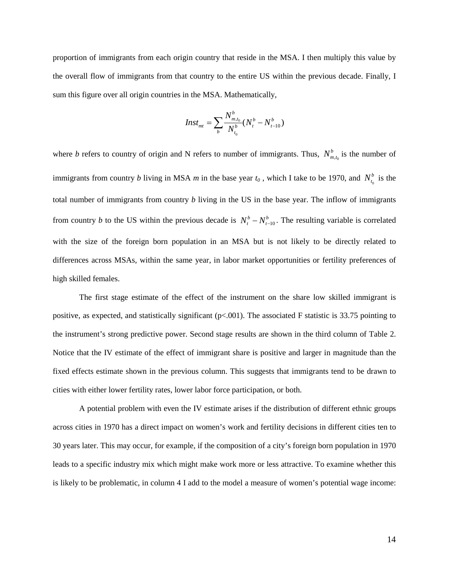proportion of immigrants from each origin country that reside in the MSA. I then multiply this value by the overall flow of immigrants from that country to the entire US within the previous decade. Finally, I sum this figure over all origin countries in the MSA. Mathematically,

$$
Inst_{mt} = \sum_{b} \frac{N_{m,t_0}^b}{N_{t_0}^b} (N_t^b - N_{t-10}^b)
$$

where *b* refers to country of origin and N refers to number of immigrants. Thus,  $N_{m,t_0}^b$  is the number of immigrants from country *b* living in MSA *m* in the base year  $t_0$ , which I take to be 1970, and  $N_{t_0}^b$  is the total number of immigrants from country *b* living in the US in the base year. The inflow of immigrants from country *b* to the US within the previous decade is  $N_t^b - N_{t-10}^b$ . The resulting variable is correlated with the size of the foreign born population in an MSA but is not likely to be directly related to differences across MSAs, within the same year, in labor market opportunities or fertility preferences of high skilled females.

The first stage estimate of the effect of the instrument on the share low skilled immigrant is positive, as expected, and statistically significant (p<.001). The associated F statistic is 33.75 pointing to the instrument's strong predictive power. Second stage results are shown in the third column of Table 2. Notice that the IV estimate of the effect of immigrant share is positive and larger in magnitude than the fixed effects estimate shown in the previous column. This suggests that immigrants tend to be drawn to cities with either lower fertility rates, lower labor force participation, or both.

A potential problem with even the IV estimate arises if the distribution of different ethnic groups across cities in 1970 has a direct impact on women's work and fertility decisions in different cities ten to 30 years later. This may occur, for example, if the composition of a city's foreign born population in 1970 leads to a specific industry mix which might make work more or less attractive. To examine whether this is likely to be problematic, in column 4 I add to the model a measure of women's potential wage income: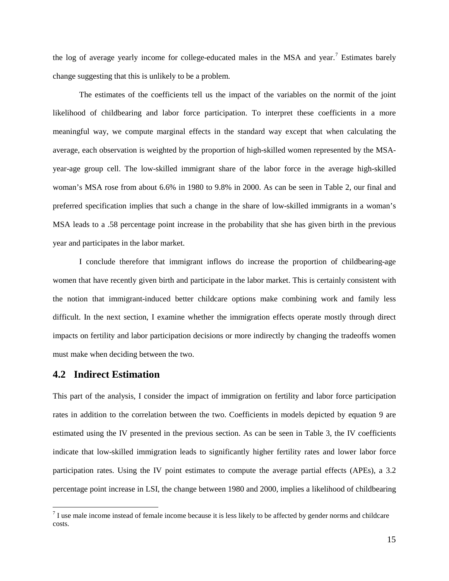the log of average yearly income for college-educated males in the MSA and year.<sup>[7](#page-12-2)</sup> Estimates barely change suggesting that this is unlikely to be a problem.

The estimates of the coefficients tell us the impact of the variables on the normit of the joint likelihood of childbearing and labor force participation. To interpret these coefficients in a more meaningful way, we compute marginal effects in the standard way except that when calculating the average, each observation is weighted by the proportion of high-skilled women represented by the MSAyear-age group cell. The low-skilled immigrant share of the labor force in the average high-skilled woman's MSA rose from about 6.6% in 1980 to 9.8% in 2000. As can be seen in Table 2, our final and preferred specification implies that such a change in the share of low-skilled immigrants in a woman's MSA leads to a .58 percentage point increase in the probability that she has given birth in the previous year and participates in the labor market.

I conclude therefore that immigrant inflows do increase the proportion of childbearing-age women that have recently given birth and participate in the labor market. This is certainly consistent with the notion that immigrant-induced better childcare options make combining work and family less difficult. In the next section, I examine whether the immigration effects operate mostly through direct impacts on fertility and labor participation decisions or more indirectly by changing the tradeoffs women must make when deciding between the two.

#### **4.2 Indirect Estimation**

This part of the analysis, I consider the impact of immigration on fertility and labor force participation rates in addition to the correlation between the two. Coefficients in models depicted by equation 9 are estimated using the IV presented in the previous section. As can be seen in Table 3, the IV coefficients indicate that low-skilled immigration leads to significantly higher fertility rates and lower labor force participation rates. Using the IV point estimates to compute the average partial effects (APEs), a 3.2 percentage point increase in LSI, the change between 1980 and 2000, implies a likelihood of childbearing

<span id="page-17-0"></span> $<sup>7</sup>$  I use male income instead of female income because it is less likely to be affected by gender norms and childcare</sup> costs.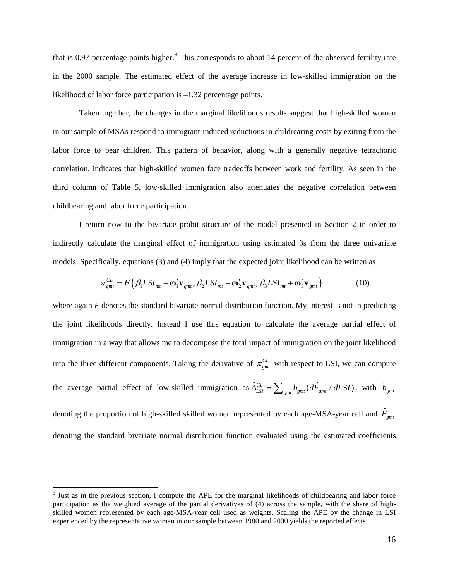that is 0.97 percentage points higher.<sup>[8](#page-17-0)</sup> This corresponds to about 14 percent of the observed fertility rate in the 2000 sample. The estimated effect of the average increase in low-skilled immigration on the likelihood of labor force participation is  $-1.32$  percentage points.

Taken together, the changes in the marginal likelihoods results suggest that high-skilled women in our sample of MSAs respond to immigrant-induced reductions in childrearing costs by exiting from the labor force to bear children. This pattern of behavior, along with a generally negative tetrachoric correlation, indicates that high-skilled women face tradeoffs between work and fertility. As seen in the third column of Table 5, low-skilled immigration also attenuates the negative correlation between childbearing and labor force participation.

I return now to the bivariate probit structure of the model presented in Section 2 in order to indirectly calculate the marginal effect of immigration using estimated βs from the three univariate models. Specifically, equations (3) and (4) imply that the expected joint likelihood can be written as

$$
\pi_{gmt}^{CL} = F\left(\beta_1 L S I_{mt} + \mathbf{\omega}_1' \mathbf{v}_{gmt}, \beta_2 L S I_{mt} + \mathbf{\omega}_2' \mathbf{v}_{gmt}, \beta_3 L S I_{mt} + \mathbf{\omega}_3' \mathbf{v}_{gmt}\right)
$$
(10)

where again *F* denotes the standard bivariate normal distribution function. My interest is not in predicting the joint likelihoods directly. Instead I use this equation to calculate the average partial effect of immigration in a way that allows me to decompose the total impact of immigration on the joint likelihood into the three different components. Taking the derivative of  $\pi_{emt}^{CL}$  with respect to LSI, we can compute the average partial effect of low-skilled immigration as  $\hat{A}_{LSI}^{CL} = \sum_{gmt} h_{gmt} (d\hat{F}_{gmt} / dLSI)$ , with  $h_{gmt}$ denoting the proportion of high-skilled skilled women represented by each age-MSA-year cell and  $\hat{F}_{gmt}$ denoting the standard bivariate normal distribution function evaluated using the estimated coefficients

<span id="page-18-0"></span><sup>&</sup>lt;sup>8</sup> Just as in the previous section, I compute the APE for the marginal likelihoods of childbearing and labor force participation as the weighted average of the partial derivatives of (4) across the sample, with the share of highskilled women represented by each age-MSA-year cell used as weights. Scaling the APE by the change in LSI experienced by the representative woman in our sample between 1980 and 2000 yields the reported effects.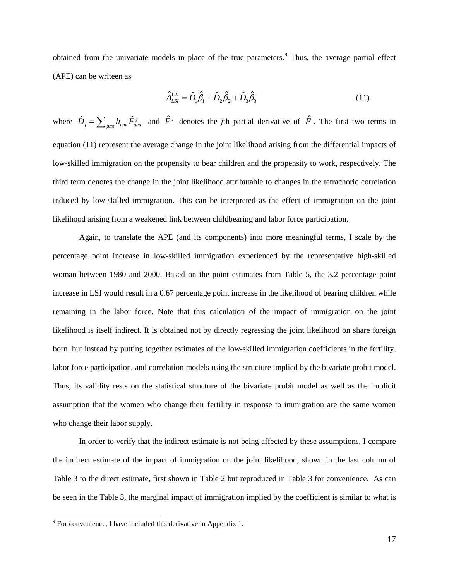obtained from the univariate models in place of the true parameters.<sup>[9](#page-18-0)</sup> Thus, the average partial effect (APE) can be writeen as

$$
\hat{A}_{LSI}^{CL} = \hat{D}_1 \hat{\beta}_1 + \hat{D}_2 \hat{\beta}_2 + \hat{D}_3 \hat{\beta}_3
$$
\n(11)

where  $\hat{D}_j = \sum_{gmt} h_{gmt} \hat{F}_{gmt}^j$  and  $\hat{F}^j$  denotes the *j*th partial derivative of  $\hat{F}$ . The first two terms in equation (11) represent the average change in the joint likelihood arising from the differential impacts of low-skilled immigration on the propensity to bear children and the propensity to work, respectively. The third term denotes the change in the joint likelihood attributable to changes in the tetrachoric correlation induced by low-skilled immigration. This can be interpreted as the effect of immigration on the joint likelihood arising from a weakened link between childbearing and labor force participation.

Again, to translate the APE (and its components) into more meaningful terms, I scale by the percentage point increase in low-skilled immigration experienced by the representative high-skilled woman between 1980 and 2000. Based on the point estimates from Table 5, the 3.2 percentage point increase in LSI would result in a 0.67 percentage point increase in the likelihood of bearing children while remaining in the labor force. Note that this calculation of the impact of immigration on the joint likelihood is itself indirect. It is obtained not by directly regressing the joint likelihood on share foreign born, but instead by putting together estimates of the low-skilled immigration coefficients in the fertility, labor force participation, and correlation models using the structure implied by the bivariate probit model. Thus, its validity rests on the statistical structure of the bivariate probit model as well as the implicit assumption that the women who change their fertility in response to immigration are the same women who change their labor supply.

In order to verify that the indirect estimate is not being affected by these assumptions, I compare the indirect estimate of the impact of immigration on the joint likelihood, shown in the last column of Table 3 to the direct estimate, first shown in Table 2 but reproduced in Table 3 for convenience. As can be seen in the Table 3, the marginal impact of immigration implied by the coefficient is similar to what is

 $9^9$  For convenience, I have included this derivative in Appendix 1.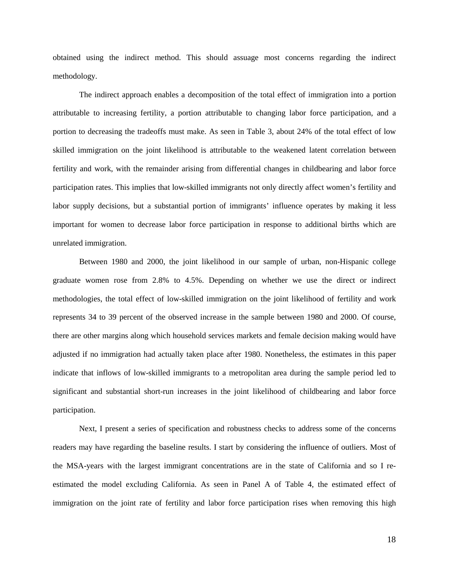obtained using the indirect method. This should assuage most concerns regarding the indirect methodology.

The indirect approach enables a decomposition of the total effect of immigration into a portion attributable to increasing fertility, a portion attributable to changing labor force participation, and a portion to decreasing the tradeoffs must make. As seen in Table 3, about 24% of the total effect of low skilled immigration on the joint likelihood is attributable to the weakened latent correlation between fertility and work, with the remainder arising from differential changes in childbearing and labor force participation rates. This implies that low-skilled immigrants not only directly affect women's fertility and labor supply decisions, but a substantial portion of immigrants' influence operates by making it less important for women to decrease labor force participation in response to additional births which are unrelated immigration.

Between 1980 and 2000, the joint likelihood in our sample of urban, non-Hispanic college graduate women rose from 2.8% to 4.5%. Depending on whether we use the direct or indirect methodologies, the total effect of low-skilled immigration on the joint likelihood of fertility and work represents 34 to 39 percent of the observed increase in the sample between 1980 and 2000. Of course, there are other margins along which household services markets and female decision making would have adjusted if no immigration had actually taken place after 1980. Nonetheless, the estimates in this paper indicate that inflows of low-skilled immigrants to a metropolitan area during the sample period led to significant and substantial short-run increases in the joint likelihood of childbearing and labor force participation.

Next, I present a series of specification and robustness checks to address some of the concerns readers may have regarding the baseline results. I start by considering the influence of outliers. Most of the MSA-years with the largest immigrant concentrations are in the state of California and so I reestimated the model excluding California. As seen in Panel A of Table 4, the estimated effect of immigration on the joint rate of fertility and labor force participation rises when removing this high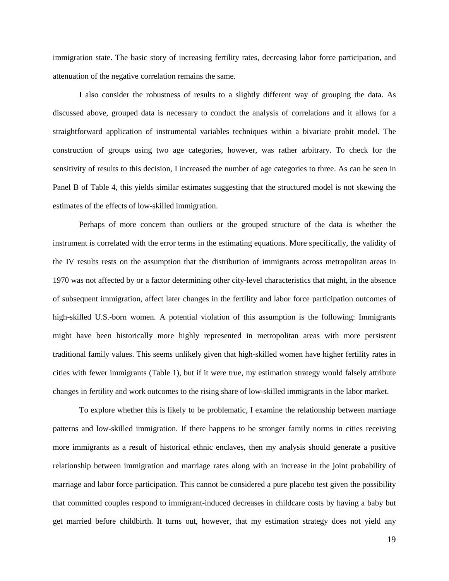immigration state. The basic story of increasing fertility rates, decreasing labor force participation, and attenuation of the negative correlation remains the same.

I also consider the robustness of results to a slightly different way of grouping the data. As discussed above, grouped data is necessary to conduct the analysis of correlations and it allows for a straightforward application of instrumental variables techniques within a bivariate probit model. The construction of groups using two age categories, however, was rather arbitrary. To check for the sensitivity of results to this decision, I increased the number of age categories to three. As can be seen in Panel B of Table 4, this yields similar estimates suggesting that the structured model is not skewing the estimates of the effects of low-skilled immigration.

Perhaps of more concern than outliers or the grouped structure of the data is whether the instrument is correlated with the error terms in the estimating equations. More specifically, the validity of the IV results rests on the assumption that the distribution of immigrants across metropolitan areas in 1970 was not affected by or a factor determining other city-level characteristics that might, in the absence of subsequent immigration, affect later changes in the fertility and labor force participation outcomes of high-skilled U.S.-born women. A potential violation of this assumption is the following: Immigrants might have been historically more highly represented in metropolitan areas with more persistent traditional family values. This seems unlikely given that high-skilled women have higher fertility rates in cities with fewer immigrants (Table 1), but if it were true, my estimation strategy would falsely attribute changes in fertility and work outcomes to the rising share of low-skilled immigrants in the labor market.

To explore whether this is likely to be problematic, I examine the relationship between marriage patterns and low-skilled immigration. If there happens to be stronger family norms in cities receiving more immigrants as a result of historical ethnic enclaves, then my analysis should generate a positive relationship between immigration and marriage rates along with an increase in the joint probability of marriage and labor force participation. This cannot be considered a pure placebo test given the possibility that committed couples respond to immigrant-induced decreases in childcare costs by having a baby but get married before childbirth. It turns out, however, that my estimation strategy does not yield any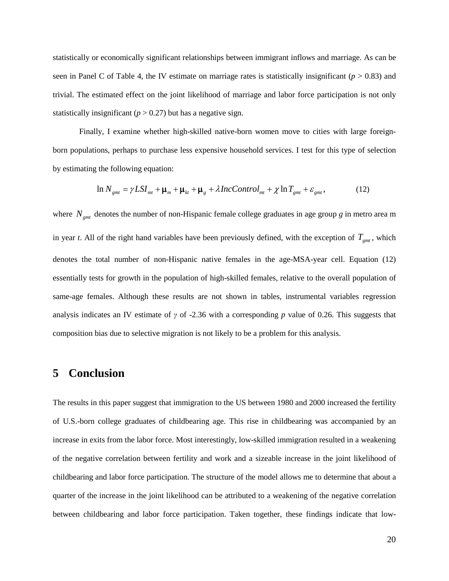statistically or economically significant relationships between immigrant inflows and marriage. As can be seen in Panel C of Table 4, the IV estimate on marriage rates is statistically insignificant ( $p > 0.83$ ) and trivial. The estimated effect on the joint likelihood of marriage and labor force participation is not only statistically insignificant  $(p > 0.27)$  but has a negative sign.

Finally, I examine whether high-skilled native-born women move to cities with large foreignborn populations, perhaps to purchase less expensive household services. I test for this type of selection by estimating the following equation:

$$
\ln N_{gmt} = \gamma LSI_{mt} + \mu_m + \mu_{kt} + \mu_g + \lambda IncControl_{mt} + \chi \ln T_{gmt} + \varepsilon_{gmt},\tag{12}
$$

where  $N_{\text{emt}}$  denotes the number of non-Hispanic female college graduates in age group *g* in metro area m in year *t*. All of the right hand variables have been previously defined, with the exception of  $T_{gmt}$ , which denotes the total number of non-Hispanic native females in the age-MSA-year cell. Equation (12) essentially tests for growth in the population of high-skilled females, relative to the overall population of same-age females. Although these results are not shown in tables, instrumental variables regression analysis indicates an IV estimate of *γ* of -2.36 with a corresponding *p* value of 0.26. This suggests that composition bias due to selective migration is not likely to be a problem for this analysis.

# **5 Conclusion**

The results in this paper suggest that immigration to the US between 1980 and 2000 increased the fertility of U.S.-born college graduates of childbearing age. This rise in childbearing was accompanied by an increase in exits from the labor force. Most interestingly, low-skilled immigration resulted in a weakening of the negative correlation between fertility and work and a sizeable increase in the joint likelihood of childbearing and labor force participation. The structure of the model allows me to determine that about a quarter of the increase in the joint likelihood can be attributed to a weakening of the negative correlation between childbearing and labor force participation. Taken together, these findings indicate that low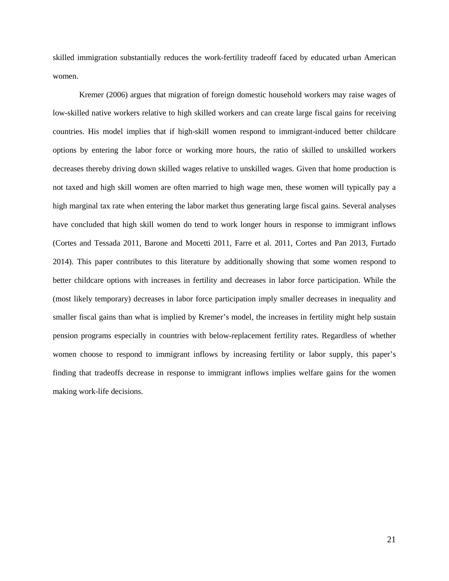skilled immigration substantially reduces the work-fertility tradeoff faced by educated urban American women.

Kremer (2006) argues that migration of foreign domestic household workers may raise wages of low-skilled native workers relative to high skilled workers and can create large fiscal gains for receiving countries. His model implies that if high-skill women respond to immigrant-induced better childcare options by entering the labor force or working more hours, the ratio of skilled to unskilled workers decreases thereby driving down skilled wages relative to unskilled wages. Given that home production is not taxed and high skill women are often married to high wage men, these women will typically pay a high marginal tax rate when entering the labor market thus generating large fiscal gains. Several analyses have concluded that high skill women do tend to work longer hours in response to immigrant inflows (Cortes and Tessada 2011, Barone and Mocetti 2011, Farre et al. 2011, Cortes and Pan 2013, Furtado 2014). This paper contributes to this literature by additionally showing that some women respond to better childcare options with increases in fertility and decreases in labor force participation. While the (most likely temporary) decreases in labor force participation imply smaller decreases in inequality and smaller fiscal gains than what is implied by Kremer's model, the increases in fertility might help sustain pension programs especially in countries with below-replacement fertility rates. Regardless of whether women choose to respond to immigrant inflows by increasing fertility or labor supply, this paper's finding that tradeoffs decrease in response to immigrant inflows implies welfare gains for the women making work-life decisions.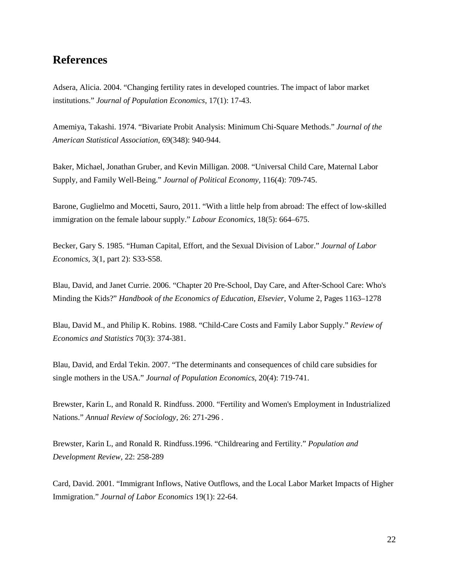# **References**

Adsera, Alicia. 2004. "Changing fertility rates in developed countries. The impact of labor market institutions." *[Journal of Population Economics](http://link.springer.com/journal/148)*, 17[\(1\)](http://link.springer.com/journal/148/17/1/page/1): 17-43.

Amemiya, Takashi. 1974. "Bivariate Probit Analysis: Minimum Chi-Square Methods." *Journal of the American Statistical Association,* 69(348): 940-944.

Baker, Michael, Jonathan Gruber, and Kevin Milligan. 2008. "Universal Child Care, Maternal Labor Supply, and Family Well-Being." *Journal of Political Economy,* 116(4): 709-745.

Barone, Guglielmo and Mocetti, Sauro, 2011. "With a little help from abroad: The effect of low-skilled immigration on the female labour supply." *[Labour Economics](http://www.sciencedirect.com/science/journal/09275371)*, [18\(5\)](http://www.sciencedirect.com/science/journal/09275371/18/5): 664–675.

Becker, Gary S. 1985. "Human Capital, Effort, and the Sexual Division of Labor." *Journal of Labor Economics,* 3(1, part 2): S33-S58.

Blau, David, and Janet Currie. 2006. "Chapter 20 Pre-School, Day Care, and After-School Care: Who's Minding the Kids?" *[Handbook of the Economics of Education,](http://www.sciencedirect.com/science/handbooks/15740692) Elsevier*, [Volume 2,](http://www.sciencedirect.com/science/handbooks/15740692/2/supp/C) Pages 1163–1278

Blau, David M., and Philip K. Robins. 1988. "Child-Care Costs and Family Labor Supply." *Review of Economics and Statistics* 70(3): 374-381.

Blau, David, and Erdal Tekin. 2007. "The determinants and consequences of child care subsidies for single mothers in the USA." *[Journal of Population Economics](http://link.springer.com/journal/148)*, 2[0\(4\)](http://link.springer.com/journal/148/20/4/page/1): 719-741.

Brewster, Karin L, and Ronald R. Rindfuss. 2000. "Fertility and Women's Employment in Industrialized Nations." *Annual Review of Sociology,* 26: 271-296 .

Brewster, Karin L, and Ronald R. Rindfuss.1996. "Childrearing and Fertility." *Population and Development Review,* 22: 258-289

Card, David. 2001. "Immigrant Inflows, Native Outflows, and the Local Labor Market Impacts of Higher Immigration." *Journal of Labor Economics* 19(1): 22-64.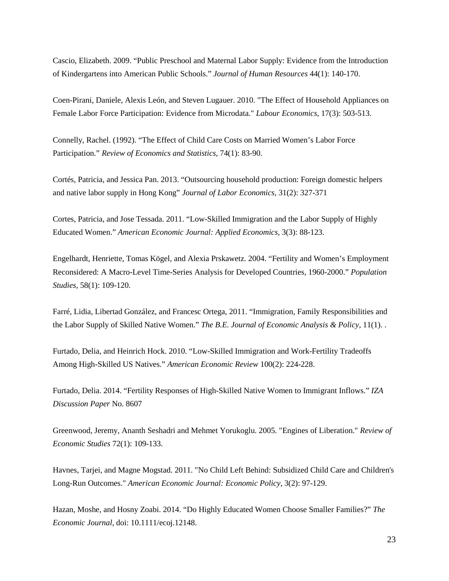Cascio, Elizabeth. 2009. "Public Preschool and Maternal Labor Supply: Evidence from the Introduction of Kindergartens into American Public Schools." *Journal of Human Resources* 44(1): 140-170.

Coen-Pirani, Daniele, Alexis León, and Steven Lugauer. 2010. "The Effect of Household Appliances on Female Labor Force Participation: Evidence from Microdata." *Labour Economics*, 17(3): 503-513.

Connelly, Rachel. (1992). "The Effect of Child Care Costs on Married Women's Labor Force Participation." *Review of Economics and Statistics*, 74(1): 83-90.

Cortés, Patricia, and Jessica Pan. 2013. "Outsourcing household production: Foreign domestic helpers and native labor supply in Hong Kong" *Journal of Labor Economics,* 31(2): 327-371

Cortes, Patricia, and Jose Tessada. 2011. "Low-Skilled Immigration and the Labor Supply of Highly Educated Women." *American Economic Journal: Applied Economics,* 3(3): 88-123.

Engelhardt, Henriette, Tomas Kögel, and Alexia Prskawetz. 2004. "Fertility and Women's Employment Reconsidered: A Macro-Level Time-Series Analysis for Developed Countries, 1960-2000." *Population Studies,* 58(1): 109-120.

Farré, Lidia, Libertad González, and Francesc Ortega, 2011. "Immigration, Family Responsibilities and the Labor Supply of Skilled Native Women." *The B.E. Journal of Economic Analysis & Policy*, 11(1). .

Furtado, Delia, and Heinrich Hock. 2010. "Low-Skilled Immigration and Work-Fertility Tradeoffs Among High-Skilled US Natives." *American Economic Review* 100(2): 224-228.

Furtado, Delia. 2014. "Fertility Responses of High-Skilled Native Women to Immigrant Inflows." *IZA Discussion Paper* No. 8607

Greenwood, Jeremy, Ananth Seshadri and Mehmet Yorukoglu. 2005. "Engines of Liberation." *Review of Economic Studies* 72(1): 109-133.

Havnes, Tarjei, and Magne Mogstad. 2011. "No Child Left Behind: Subsidized Child Care and Children's Long-Run Outcomes." *American Economic Journal: Economic Policy*, 3(2): 97-129.

Hazan, Moshe, and Hosny Zoabi. 2014. "Do Highly Educated Women Choose Smaller Families?" *The Economic Journal*, doi: 10.1111/ecoj.12148.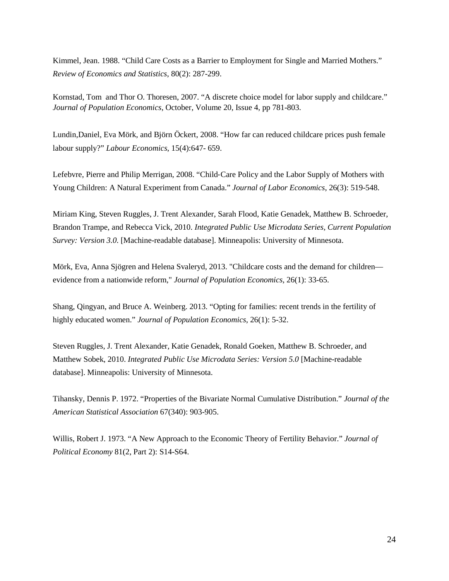Kimmel, Jean. 1988. "Child Care Costs as a Barrier to Employment for Single and Married Mothers." *Review of Economics and Statistics*, 80(2): 287-299.

Kornstad, Tom and Thor O. Thoresen, 2007. "A discrete choice model for labor supply and childcare." *Journal of Population Economics*, October, Volume 20, Issue 4, pp 781-803.

Lundin,Daniel, Eva Mörk, and [Björn Öckert,](http://www.sciencedirect.com/science/article/pii/S0927537108000389) 2008. "How far can reduced childcare prices push female labour supply?" *Labour Economics*, 15(4):647- 659.

Lefebvre, Pierre and Philip Merrigan, 2008. "Child‐Care Policy and the Labor Supply of Mothers with Young Children: A Natural Experiment from Canada." *Journal of Labor Economics*, 26(3): 519-548.

Miriam King, Steven Ruggles, J. Trent Alexander, Sarah Flood, Katie Genadek, Matthew B. Schroeder, Brandon Trampe, and Rebecca Vick, 2010. *Integrated Public Use Microdata Series, Current Population Survey: Version 3.0*. [Machine-readable database]. Minneapolis: University of Minnesota.

Mörk, Eva, Anna Sjögren and Helena Svaleryd, 2013. "Childcare costs and the demand for children evidence from a nationwide reform," *Journal of Population Economics*, 26(1): 33-65.

[Shang,](http://link.springer.com/search?facet-author=%22Qingyan+Shang%22) Qingyan, and [Bruce A. Weinberg.](http://link.springer.com/search?facet-author=%22Bruce+A.+Weinberg%22) 2013. "Opting for families: recent trends in the fertility of highly educated women." *[Journal of Population Economics](http://link.springer.com/journal/148)*, 26(1): 5-32.

Steven Ruggles, J. Trent Alexander, Katie Genadek, Ronald Goeken, Matthew B. Schroeder, and Matthew Sobek, 2010. *Integrated Public Use Microdata Series: Version 5.0* [Machine-readable database]. Minneapolis: University of Minnesota.

Tihansky, Dennis P. 1972. "Properties of the Bivariate Normal Cumulative Distribution." *Journal of the American Statistical Association* 67(340): 903-905.

Willis, Robert J. 1973. "A New Approach to the Economic Theory of Fertility Behavior." *Journal of Political Economy* 81(2, Part 2): S14-S64.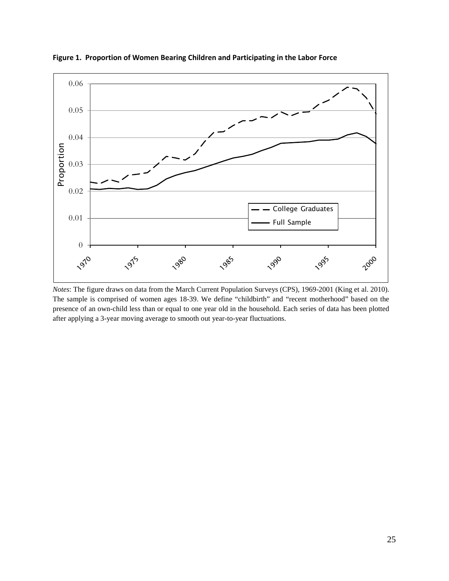

**Figure 1. Proportion of Women Bearing Children and Participating in the Labor Force**

*Notes*: The figure draws on data from the March Current Population Surveys (CPS), 1969-2001 (King et al. 2010). The sample is comprised of women ages 18-39. We define "childbirth" and "recent motherhood" based on the presence of an own-child less than or equal to one year old in the household. Each series of data has been plotted after applying a 3-year moving average to smooth out year-to-year fluctuations.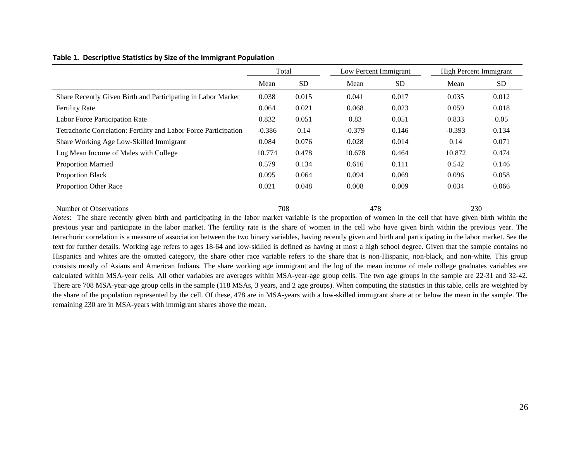|                                                                  | Total    |           | Low Percent Immigrant |           | <b>High Percent Immigrant</b> |           |
|------------------------------------------------------------------|----------|-----------|-----------------------|-----------|-------------------------------|-----------|
|                                                                  | Mean     | <b>SD</b> | Mean                  | <b>SD</b> | Mean                          | <b>SD</b> |
| Share Recently Given Birth and Participating in Labor Market     | 0.038    | 0.015     | 0.041                 | 0.017     | 0.035                         | 0.012     |
| <b>Fertility Rate</b>                                            | 0.064    | 0.021     | 0.068                 | 0.023     | 0.059                         | 0.018     |
| Labor Force Participation Rate                                   | 0.832    | 0.051     | 0.83                  | 0.051     | 0.833                         | 0.05      |
| Tetrachoric Correlation: Fertility and Labor Force Participation | $-0.386$ | 0.14      | $-0.379$              | 0.146     | $-0.393$                      | 0.134     |
| Share Working Age Low-Skilled Immigrant                          | 0.084    | 0.076     | 0.028                 | 0.014     | 0.14                          | 0.071     |
| Log Mean Income of Males with College                            | 10.774   | 0.478     | 10.678                | 0.464     | 10.872                        | 0.474     |
| <b>Proportion Married</b>                                        | 0.579    | 0.134     | 0.616                 | 0.111     | 0.542                         | 0.146     |
| <b>Proportion Black</b>                                          | 0.095    | 0.064     | 0.094                 | 0.069     | 0.096                         | 0.058     |
| Proportion Other Race                                            | 0.021    | 0.048     | 0.008                 | 0.009     | 0.034                         | 0.066     |
| Number of Observations                                           | 708      |           | 478                   |           | 230                           |           |

#### **Table 1. Descriptive Statistics by Size of the Immigrant Population**

*Notes*: The share recently given birth and participating in the labor market variable is the proportion of women in the cell that have given birth within the previous year and participate in the labor market. The fertility rate is the share of women in the cell who have given birth within the previous year. The tetrachoric correlation is a measure of association between the two binary variables, having recently given and birth and participating in the labor market. See the text for further details. Working age refers to ages 18-64 and low-skilled is defined as having at most a high school degree. Given that the sample contains no Hispanics and whites are the omitted category, the share other race variable refers to the share that is non-Hispanic, non-black, and non-white. This group consists mostly of Asians and American Indians. The share working age immigrant and the log of the mean income of male college graduates variables are calculated within MSA-year cells. All other variables are averages within MSA-year-age group cells. The two age groups in the sample are 22-31 and 32-42. There are 708 MSA-year-age group cells in the sample (118 MSAs, 3 years, and 2 age groups). When computing the statistics in this table, cells are weighted by the share of the population represented by the cell. Of these, 478 are in MSA-years with a low-skilled immigrant share at or below the mean in the sample. The remaining 230 are in MSA-years with immigrant shares above the mean.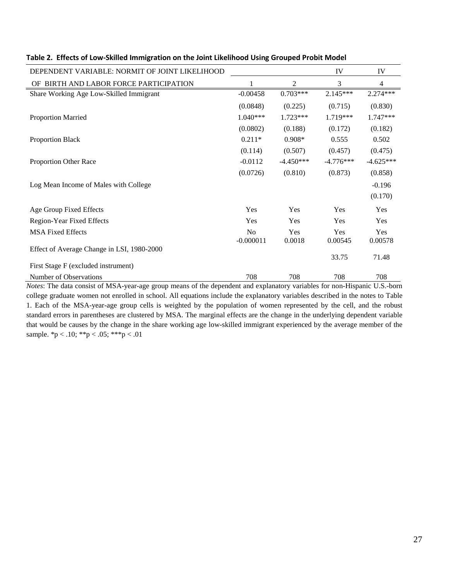| DEPENDENT VARIABLE: NORMIT OF JOINT LIKELIHOOD |                |             | IV          | IV             |
|------------------------------------------------|----------------|-------------|-------------|----------------|
| OF BIRTH AND LABOR FORCE PARTICIPATION         | 1              | 2           | 3           | $\overline{4}$ |
| Share Working Age Low-Skilled Immigrant        | $-0.00458$     | $0.703***$  | $2.145***$  | $2.274***$     |
|                                                | (0.0848)       | (0.225)     | (0.715)     | (0.830)        |
| <b>Proportion Married</b>                      | $1.040***$     | $1.723***$  | $1.719***$  | $1.747***$     |
|                                                | (0.0802)       | (0.188)     | (0.172)     | (0.182)        |
| <b>Proportion Black</b>                        | $0.211*$       | $0.908*$    | 0.555       | 0.502          |
|                                                | (0.114)        | (0.507)     | (0.457)     | (0.475)        |
| Proportion Other Race                          | $-0.0112$      | $-4.450***$ | $-4.776***$ | $-4.625***$    |
|                                                | (0.0726)       | (0.810)     | (0.873)     | (0.858)        |
| Log Mean Income of Males with College          |                |             |             | $-0.196$       |
|                                                |                |             |             | (0.170)        |
| Age Group Fixed Effects                        | Yes            | Yes         | Yes         | Yes            |
| Region-Year Fixed Effects                      | Yes            | Yes         | Yes         | Yes            |
| <b>MSA Fixed Effects</b>                       | N <sub>o</sub> | Yes         | Yes         | Yes            |
|                                                | $-0.000011$    | 0.0018      | 0.00545     | 0.00578        |
| Effect of Average Change in LSI, 1980-2000     |                |             | 33.75       | 71.48          |
| First Stage F (excluded instrument)            |                |             |             |                |
| Number of Observations                         | 708            | 708         | 708         | 708            |

#### **Table 2. Effects of Low-Skilled Immigration on the Joint Likelihood Using Grouped Probit Model**

*Notes*: The data consist of MSA-year-age group means of the dependent and explanatory variables for non-Hispanic U.S.-born college graduate women not enrolled in school. All equations include the explanatory variables described in the notes to Table 1. Each of the MSA-year-age group cells is weighted by the population of women represented by the cell, and the robust standard errors in parentheses are clustered by MSA. The marginal effects are the change in the underlying dependent variable that would be causes by the change in the share working age low-skilled immigrant experienced by the average member of the sample. \*p < .10; \*\*p < .05; \*\*\*p < .01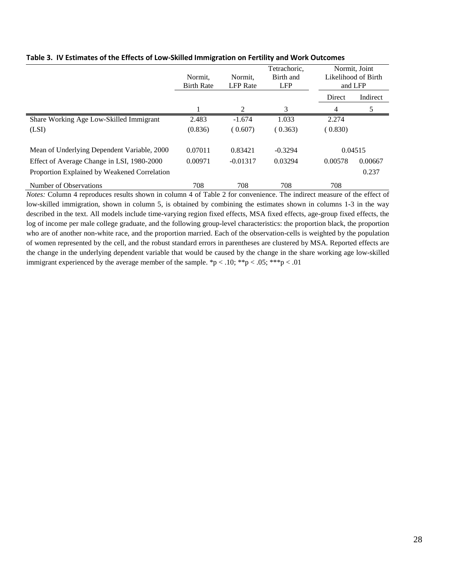|                                              | Normit.<br><b>Birth Rate</b> | Normit.<br><b>LFP</b> Rate | Tetrachoric.<br>Birth and<br><b>LFP</b> |                | Normit, Joint<br>Likelihood of Birth<br>and LFP |  |
|----------------------------------------------|------------------------------|----------------------------|-----------------------------------------|----------------|-------------------------------------------------|--|
|                                              |                              |                            |                                         | Direct         | Indirect                                        |  |
|                                              |                              | 2                          | 3                                       | $\overline{4}$ |                                                 |  |
| Share Working Age Low-Skilled Immigrant      | 2.483                        | $-1.674$                   | 1.033                                   | 2.274          |                                                 |  |
| (LSI)                                        | (0.836)                      | (0.607)                    | (0.363)                                 | (0.830)        |                                                 |  |
|                                              |                              |                            |                                         |                |                                                 |  |
| Mean of Underlying Dependent Variable, 2000  | 0.07011                      | 0.83421                    | $-0.3294$                               |                | 0.04515                                         |  |
| Effect of Average Change in LSI, 1980-2000   | 0.00971                      | $-0.01317$                 | 0.03294                                 | 0.00578        | 0.00667                                         |  |
| Proportion Explained by Weakened Correlation |                              |                            |                                         |                | 0.237                                           |  |
| Number of Observations                       | 708                          | 708                        | 708                                     | 708            |                                                 |  |

#### **Table 3. IV Estimates of the Effects of Low-Skilled Immigration on Fertility and Work Outcomes**

*Notes:* Column 4 reproduces results shown in column 4 of Table 2 for convenience. The indirect measure of the effect of low-skilled immigration, shown in column 5, is obtained by combining the estimates shown in columns 1-3 in the way described in the text. All models include time-varying region fixed effects, MSA fixed effects, age-group fixed effects, the log of income per male college graduate, and the following group-level characteristics: the proportion black, the proportion who are of another non-white race, and the proportion married. Each of the observation-cells is weighted by the population of women represented by the cell, and the robust standard errors in parentheses are clustered by MSA. Reported effects are the change in the underlying dependent variable that would be caused by the change in the share working age low-skilled immigrant experienced by the average member of the sample. \*p < .10; \*\*p < .05; \*\*\*p < .01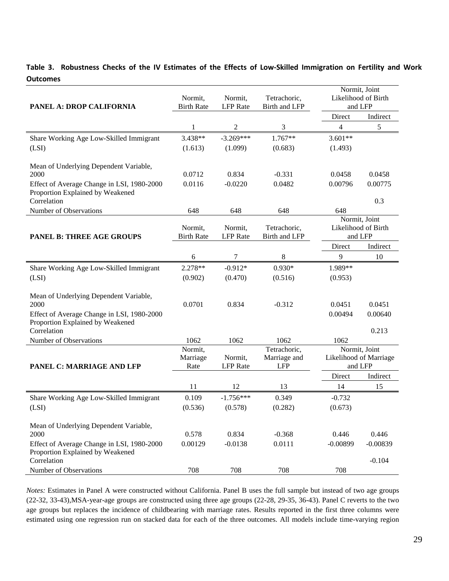#### **Table 3. Robustness Checks of the IV Estimates of the Effects of Low-Skilled Immigration on Fertility and Work Outcomes**

| PANEL A: DROP CALIFORNIA                                                                                                         | Normit,<br><b>Birth Rate</b> | Normit,<br><b>LFP</b> Rate | Tetrachoric,<br>Birth and LFP              |                                                    | Normit, Joint<br>Likelihood of Birth<br>and LFP |  |
|----------------------------------------------------------------------------------------------------------------------------------|------------------------------|----------------------------|--------------------------------------------|----------------------------------------------------|-------------------------------------------------|--|
|                                                                                                                                  |                              |                            |                                            | Direct                                             | Indirect                                        |  |
|                                                                                                                                  | 1                            | 2                          | 3                                          | 4                                                  | 5                                               |  |
| Share Working Age Low-Skilled Immigrant                                                                                          | 3.438**                      | $-3.269***$                | $1.767**$                                  | $3.601**$                                          |                                                 |  |
| (LSI)                                                                                                                            | (1.613)                      | (1.099)                    | (0.683)                                    | (1.493)                                            |                                                 |  |
| Mean of Underlying Dependent Variable,<br>2000                                                                                   | 0.0712                       | 0.834                      | $-0.331$                                   | 0.0458                                             | 0.0458                                          |  |
| Effect of Average Change in LSI, 1980-2000<br>Proportion Explained by Weakened<br>Correlation                                    | 0.0116                       | $-0.0220$                  | 0.0482                                     | 0.00796                                            | 0.00775<br>0.3                                  |  |
| Number of Observations                                                                                                           | 648                          | 648                        | 648                                        | 648                                                |                                                 |  |
| <b>PANEL B: THREE AGE GROUPS</b>                                                                                                 | Normit,<br><b>Birth Rate</b> | Normit,<br><b>LFP</b> Rate | Tetrachoric,<br><b>Birth and LFP</b>       | Normit, Joint<br>Likelihood of Birth<br>and LFP    |                                                 |  |
|                                                                                                                                  |                              |                            |                                            | Direct                                             | Indirect                                        |  |
|                                                                                                                                  | 6                            | 7                          | 8                                          | 9                                                  | 10                                              |  |
| Share Working Age Low-Skilled Immigrant                                                                                          | 2.278**                      | $-0.912*$                  | $0.930*$                                   | 1.989**                                            |                                                 |  |
| (LSI)                                                                                                                            | (0.902)                      | (0.470)                    | (0.516)                                    | (0.953)                                            |                                                 |  |
| Mean of Underlying Dependent Variable,<br>2000<br>Effect of Average Change in LSI, 1980-2000<br>Proportion Explained by Weakened | 0.0701                       | 0.834                      | $-0.312$                                   | 0.0451<br>0.00494                                  | 0.0451<br>0.00640                               |  |
| Correlation                                                                                                                      |                              |                            |                                            |                                                    | 0.213                                           |  |
| Number of Observations                                                                                                           | 1062                         | 1062                       | 1062                                       | 1062                                               |                                                 |  |
| PANEL C: MARRIAGE AND LFP                                                                                                        | Normit,<br>Marriage<br>Rate  | Normit,<br><b>LFP</b> Rate | Tetrachoric,<br>Marriage and<br><b>LFP</b> | Normit, Joint<br>Likelihood of Marriage<br>and LFP |                                                 |  |
|                                                                                                                                  |                              |                            |                                            | Direct                                             | Indirect                                        |  |
|                                                                                                                                  | 11                           | 12                         | 13                                         | 14                                                 | 15                                              |  |
| Share Working Age Low-Skilled Immigrant                                                                                          | 0.109                        | $-1.756***$                | 0.349                                      | $-0.732$                                           |                                                 |  |
| (LSI)                                                                                                                            | (0.536)                      | (0.578)                    | (0.282)                                    | (0.673)                                            |                                                 |  |
| Mean of Underlying Dependent Variable,<br>2000                                                                                   | 0.578                        | 0.834                      | $-0.368$                                   | 0.446                                              | 0.446                                           |  |
| Effect of Average Change in LSI, 1980-2000<br>Proportion Explained by Weakened                                                   | 0.00129                      | $-0.0138$                  | 0.0111                                     | $-0.00899$                                         | $-0.00839$                                      |  |
| Correlation                                                                                                                      |                              |                            |                                            |                                                    | $-0.104$                                        |  |
| Number of Observations                                                                                                           | 708                          | 708                        | 708                                        | 708                                                |                                                 |  |

*Notes:* Estimates in Panel A were constructed without California. Panel B uses the full sample but instead of two age groups (22-32, 33-43),MSA-year-age groups are constructed using three age groups (22-28, 29-35, 36-43). Panel C reverts to the two age groups but replaces the incidence of childbearing with marriage rates. Results reported in the first three columns were estimated using one regression run on stacked data for each of the three outcomes. All models include time-varying region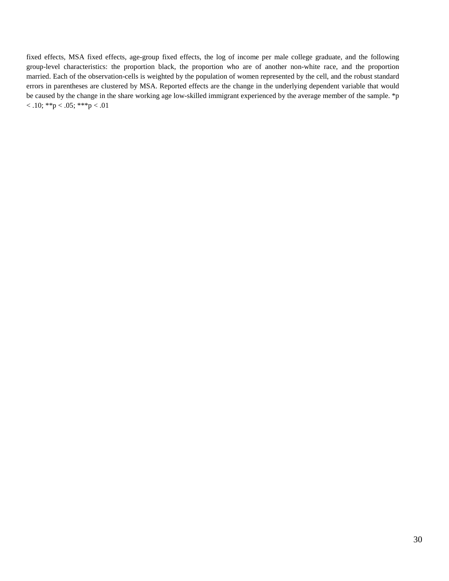fixed effects, MSA fixed effects, age-group fixed effects, the log of income per male college graduate, and the following group-level characteristics: the proportion black, the proportion who are of another non-white race, and the proportion married. Each of the observation-cells is weighted by the population of women represented by the cell, and the robust standard errors in parentheses are clustered by MSA. Reported effects are the change in the underlying dependent variable that would be caused by the change in the share working age low-skilled immigrant experienced by the average member of the sample. \*p  $< .10$ ; \*\*p  $< .05$ ; \*\*\*p  $< .01$